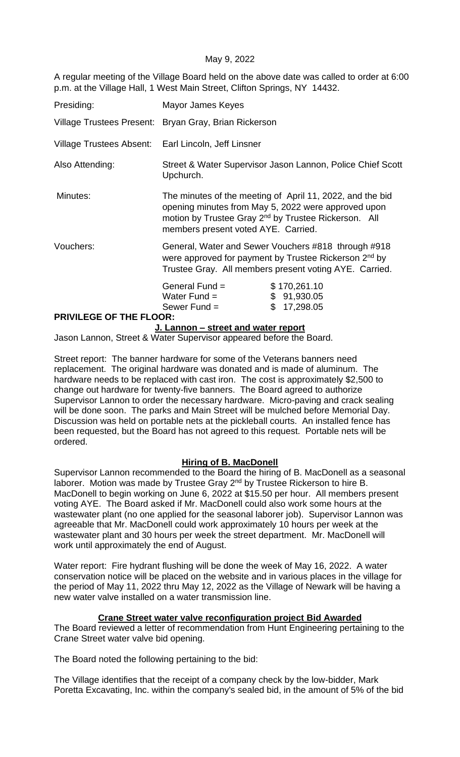### May 9, 2022

A regular meeting of the Village Board held on the above date was called to order at 6:00 p.m. at the Village Hall, 1 West Main Street, Clifton Springs, NY 14432.

| Presiding:                                          | Mayor James Keyes                                                                                                                                                                                                           |                                                |
|-----------------------------------------------------|-----------------------------------------------------------------------------------------------------------------------------------------------------------------------------------------------------------------------------|------------------------------------------------|
|                                                     | Village Trustees Present: Bryan Gray, Brian Rickerson                                                                                                                                                                       |                                                |
| Village Trustees Absent: Earl Lincoln, Jeff Linsner |                                                                                                                                                                                                                             |                                                |
| Also Attending:                                     | Street & Water Supervisor Jason Lannon, Police Chief Scott<br>Upchurch.                                                                                                                                                     |                                                |
| Minutes:                                            | The minutes of the meeting of April 11, 2022, and the bid<br>opening minutes from May 5, 2022 were approved upon<br>motion by Trustee Gray 2 <sup>nd</sup> by Trustee Rickerson. All<br>members present voted AYE. Carried. |                                                |
| Vouchers:                                           | General, Water and Sewer Vouchers #818 through #918<br>were approved for payment by Trustee Rickerson 2 <sup>nd</sup> by<br>Trustee Gray. All members present voting AYE. Carried.                                          |                                                |
| <b>PRIVILEGE OF THE FLOOR:</b>                      | General Fund $=$<br>Water Fund $=$<br>Sewer Fund $=$                                                                                                                                                                        | \$170,261.10<br>\$91,930.05<br>\$<br>17,298.05 |
|                                                     |                                                                                                                                                                                                                             |                                                |

### **J. Lannon – street and water report**

Jason Lannon, Street & Water Supervisor appeared before the Board.

Street report: The banner hardware for some of the Veterans banners need replacement. The original hardware was donated and is made of aluminum. The hardware needs to be replaced with cast iron. The cost is approximately \$2,500 to change out hardware for twenty-five banners. The Board agreed to authorize Supervisor Lannon to order the necessary hardware. Micro-paving and crack sealing will be done soon. The parks and Main Street will be mulched before Memorial Day. Discussion was held on portable nets at the pickleball courts. An installed fence has been requested, but the Board has not agreed to this request. Portable nets will be ordered.

# **Hiring of B. MacDonell**

Supervisor Lannon recommended to the Board the hiring of B. MacDonell as a seasonal laborer. Motion was made by Trustee Gray 2<sup>nd</sup> by Trustee Rickerson to hire B. MacDonell to begin working on June 6, 2022 at \$15.50 per hour. All members present voting AYE. The Board asked if Mr. MacDonell could also work some hours at the wastewater plant (no one applied for the seasonal laborer job). Supervisor Lannon was agreeable that Mr. MacDonell could work approximately 10 hours per week at the wastewater plant and 30 hours per week the street department. Mr. MacDonell will work until approximately the end of August.

Water report: Fire hydrant flushing will be done the week of May 16, 2022. A water conservation notice will be placed on the website and in various places in the village for the period of May 11, 2022 thru May 12, 2022 as the Village of Newark will be having a new water valve installed on a water transmission line.

### **Crane Street water valve reconfiguration project Bid Awarded**

The Board reviewed a letter of recommendation from Hunt Engineering pertaining to the Crane Street water valve bid opening.

The Board noted the following pertaining to the bid:

The Village identifies that the receipt of a company check by the low-bidder, Mark Poretta Excavating, Inc. within the company's sealed bid, in the amount of 5% of the bid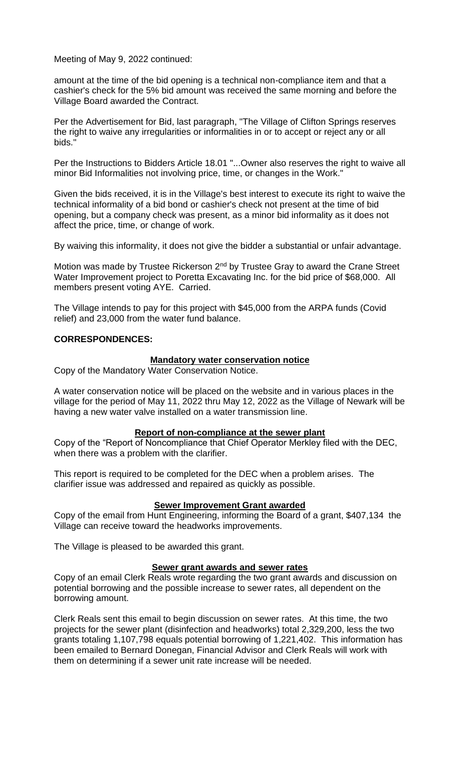amount at the time of the bid opening is a technical non-compliance item and that a cashier's check for the 5% bid amount was received the same morning and before the Village Board awarded the Contract.

Per the Advertisement for Bid, last paragraph, "The Village of Clifton Springs reserves the right to waive any irregularities or informalities in or to accept or reject any or all bids."

Per the Instructions to Bidders Article 18.01 "...Owner also reserves the right to waive all minor Bid Informalities not involving price, time, or changes in the Work."

Given the bids received, it is in the Village's best interest to execute its right to waive the technical informality of a bid bond or cashier's check not present at the time of bid opening, but a company check was present, as a minor bid informality as it does not affect the price, time, or change of work.

By waiving this informality, it does not give the bidder a substantial or unfair advantage.

Motion was made by Trustee Rickerson 2<sup>nd</sup> by Trustee Gray to award the Crane Street Water Improvement project to Poretta Excavating Inc. for the bid price of \$68,000. All members present voting AYE. Carried.

The Village intends to pay for this project with \$45,000 from the ARPA funds (Covid relief) and 23,000 from the water fund balance.

### **CORRESPONDENCES:**

### **Mandatory water conservation notice**

Copy of the Mandatory Water Conservation Notice.

A water conservation notice will be placed on the website and in various places in the village for the period of May 11, 2022 thru May 12, 2022 as the Village of Newark will be having a new water valve installed on a water transmission line.

### **Report of non-compliance at the sewer plant**

Copy of the "Report of Noncompliance that Chief Operator Merkley filed with the DEC, when there was a problem with the clarifier.

This report is required to be completed for the DEC when a problem arises. The clarifier issue was addressed and repaired as quickly as possible.

### **Sewer Improvement Grant awarded**

Copy of the email from Hunt Engineering, informing the Board of a grant, \$407,134 the Village can receive toward the headworks improvements.

The Village is pleased to be awarded this grant.

### **Sewer grant awards and sewer rates**

Copy of an email Clerk Reals wrote regarding the two grant awards and discussion on potential borrowing and the possible increase to sewer rates, all dependent on the borrowing amount.

Clerk Reals sent this email to begin discussion on sewer rates. At this time, the two projects for the sewer plant (disinfection and headworks) total 2,329,200, less the two grants totaling 1,107,798 equals potential borrowing of 1,221,402. This information has been emailed to Bernard Donegan, Financial Advisor and Clerk Reals will work with them on determining if a sewer unit rate increase will be needed.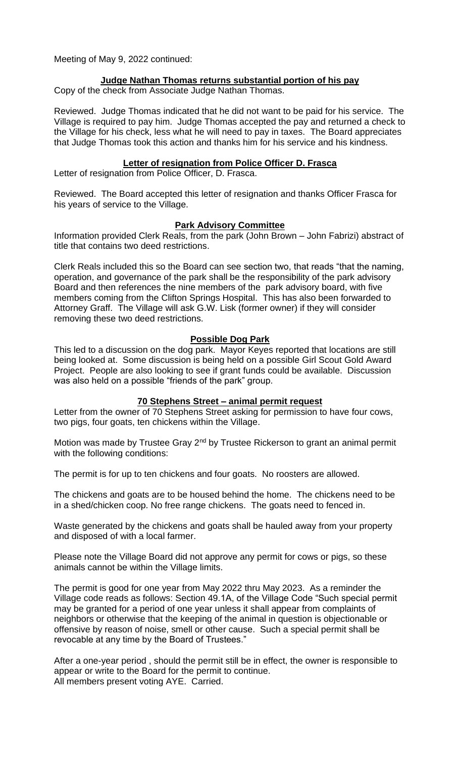### **Judge Nathan Thomas returns substantial portion of his pay**

Copy of the check from Associate Judge Nathan Thomas.

Reviewed. Judge Thomas indicated that he did not want to be paid for his service. The Village is required to pay him. Judge Thomas accepted the pay and returned a check to the Village for his check, less what he will need to pay in taxes. The Board appreciates that Judge Thomas took this action and thanks him for his service and his kindness.

### **Letter of resignation from Police Officer D. Frasca**

Letter of resignation from Police Officer, D. Frasca.

Reviewed. The Board accepted this letter of resignation and thanks Officer Frasca for his years of service to the Village.

### **Park Advisory Committee**

Information provided Clerk Reals, from the park (John Brown – John Fabrizi) abstract of title that contains two deed restrictions.

Clerk Reals included this so the Board can see section two, that reads "that the naming, operation, and governance of the park shall be the responsibility of the park advisory Board and then references the nine members of the park advisory board, with five members coming from the Clifton Springs Hospital. This has also been forwarded to Attorney Graff. The Village will ask G.W. Lisk (former owner) if they will consider removing these two deed restrictions.

### **Possible Dog Park**

This led to a discussion on the dog park. Mayor Keyes reported that locations are still being looked at. Some discussion is being held on a possible Girl Scout Gold Award Project. People are also looking to see if grant funds could be available. Discussion was also held on a possible "friends of the park" group.

### **70 Stephens Street – animal permit request**

Letter from the owner of 70 Stephens Street asking for permission to have four cows, two pigs, four goats, ten chickens within the Village.

Motion was made by Trustee Gray 2<sup>nd</sup> by Trustee Rickerson to grant an animal permit with the following conditions:

The permit is for up to ten chickens and four goats. No roosters are allowed.

The chickens and goats are to be housed behind the home. The chickens need to be in a shed/chicken coop. No free range chickens. The goats need to fenced in.

Waste generated by the chickens and goats shall be hauled away from your property and disposed of with a local farmer.

Please note the Village Board did not approve any permit for cows or pigs, so these animals cannot be within the Village limits.

The permit is good for one year from May 2022 thru May 2023. As a reminder the Village code reads as follows: Section 49.1A, of the Village Code "Such special permit may be granted for a period of one year unless it shall appear from complaints of neighbors or otherwise that the keeping of the animal in question is objectionable or offensive by reason of noise, smell or other cause. Such a special permit shall be revocable at any time by the Board of Trustees."

After a one-year period , should the permit still be in effect, the owner is responsible to appear or write to the Board for the permit to continue. All members present voting AYE. Carried.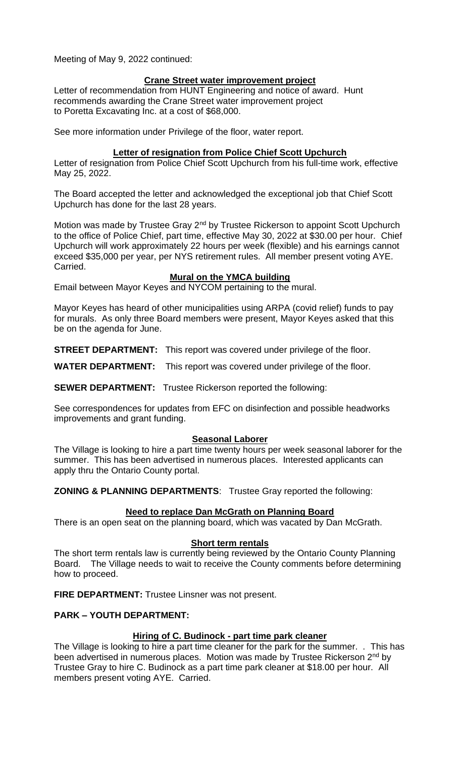### **Crane Street water improvement project**

Letter of recommendation from HUNT Engineering and notice of award. Hunt recommends awarding the Crane Street water improvement project to Poretta Excavating Inc. at a cost of \$68,000.

See more information under Privilege of the floor, water report.

### **Letter of resignation from Police Chief Scott Upchurch**

Letter of resignation from Police Chief Scott Upchurch from his full-time work, effective May 25, 2022.

The Board accepted the letter and acknowledged the exceptional job that Chief Scott Upchurch has done for the last 28 years.

Motion was made by Trustee Gray 2<sup>nd</sup> by Trustee Rickerson to appoint Scott Upchurch to the office of Police Chief, part time, effective May 30, 2022 at \$30.00 per hour. Chief Upchurch will work approximately 22 hours per week (flexible) and his earnings cannot exceed \$35,000 per year, per NYS retirement rules. All member present voting AYE. Carried.

### **Mural on the YMCA building**

Email between Mayor Keyes and NYCOM pertaining to the mural.

Mayor Keyes has heard of other municipalities using ARPA (covid relief) funds to pay for murals. As only three Board members were present, Mayor Keyes asked that this be on the agenda for June.

**STREET DEPARTMENT:** This report was covered under privilege of the floor.

**WATER DEPARTMENT:** This report was covered under privilege of the floor.

**SEWER DEPARTMENT:** Trustee Rickerson reported the following:

See correspondences for updates from EFC on disinfection and possible headworks improvements and grant funding.

### **Seasonal Laborer**

The Village is looking to hire a part time twenty hours per week seasonal laborer for the summer. This has been advertised in numerous places. Interested applicants can apply thru the Ontario County portal.

**ZONING & PLANNING DEPARTMENTS**: Trustee Gray reported the following:

# **Need to replace Dan McGrath on Planning Board**

There is an open seat on the planning board, which was vacated by Dan McGrath.

### **Short term rentals**

The short term rentals law is currently being reviewed by the Ontario County Planning Board. The Village needs to wait to receive the County comments before determining how to proceed.

**FIRE DEPARTMENT:** Trustee Linsner was not present.

# **PARK – YOUTH DEPARTMENT:**

# **Hiring of C. Budinock - part time park cleaner**

The Village is looking to hire a part time cleaner for the park for the summer. . This has been advertised in numerous places. Motion was made by Trustee Rickerson 2<sup>nd</sup> by Trustee Gray to hire C. Budinock as a part time park cleaner at \$18.00 per hour. All members present voting AYE. Carried.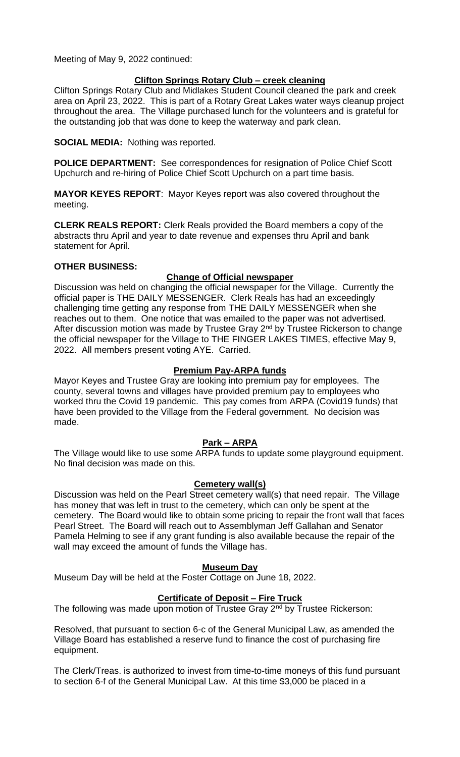# **Clifton Springs Rotary Club – creek cleaning**

Clifton Springs Rotary Club and Midlakes Student Council cleaned the park and creek area on April 23, 2022. This is part of a Rotary Great Lakes water ways cleanup project throughout the area. The Village purchased lunch for the volunteers and is grateful for the outstanding job that was done to keep the waterway and park clean.

**SOCIAL MEDIA:** Nothing was reported.

**POLICE DEPARTMENT:** See correspondences for resignation of Police Chief Scott Upchurch and re-hiring of Police Chief Scott Upchurch on a part time basis.

**MAYOR KEYES REPORT**: Mayor Keyes report was also covered throughout the meeting.

**CLERK REALS REPORT:** Clerk Reals provided the Board members a copy of the abstracts thru April and year to date revenue and expenses thru April and bank statement for April.

### **OTHER BUSINESS:**

### **Change of Official newspaper**

Discussion was held on changing the official newspaper for the Village. Currently the official paper is THE DAILY MESSENGER. Clerk Reals has had an exceedingly challenging time getting any response from THE DAILY MESSENGER when she reaches out to them. One notice that was emailed to the paper was not advertised. After discussion motion was made by Trustee Gray 2<sup>nd</sup> by Trustee Rickerson to change the official newspaper for the Village to THE FINGER LAKES TIMES, effective May 9, 2022. All members present voting AYE. Carried.

# **Premium Pay-ARPA funds**

Mayor Keyes and Trustee Gray are looking into premium pay for employees. The county, several towns and villages have provided premium pay to employees who worked thru the Covid 19 pandemic. This pay comes from ARPA (Covid19 funds) that have been provided to the Village from the Federal government. No decision was made.

# **Park – ARPA**

The Village would like to use some ARPA funds to update some playground equipment. No final decision was made on this.

# **Cemetery wall(s)**

Discussion was held on the Pearl Street cemetery wall(s) that need repair. The Village has money that was left in trust to the cemetery, which can only be spent at the cemetery. The Board would like to obtain some pricing to repair the front wall that faces Pearl Street. The Board will reach out to Assemblyman Jeff Gallahan and Senator Pamela Helming to see if any grant funding is also available because the repair of the wall may exceed the amount of funds the Village has.

### **Museum Day**

Museum Day will be held at the Foster Cottage on June 18, 2022.

# **Certificate of Deposit – Fire Truck**

The following was made upon motion of Trustee Gray 2<sup>nd</sup> by Trustee Rickerson:

Resolved, that pursuant to section 6-c of the General Municipal Law, as amended the Village Board has established a reserve fund to finance the cost of purchasing fire equipment.

The Clerk/Treas. is authorized to invest from time-to-time moneys of this fund pursuant to section 6-f of the General Municipal Law. At this time \$3,000 be placed in a